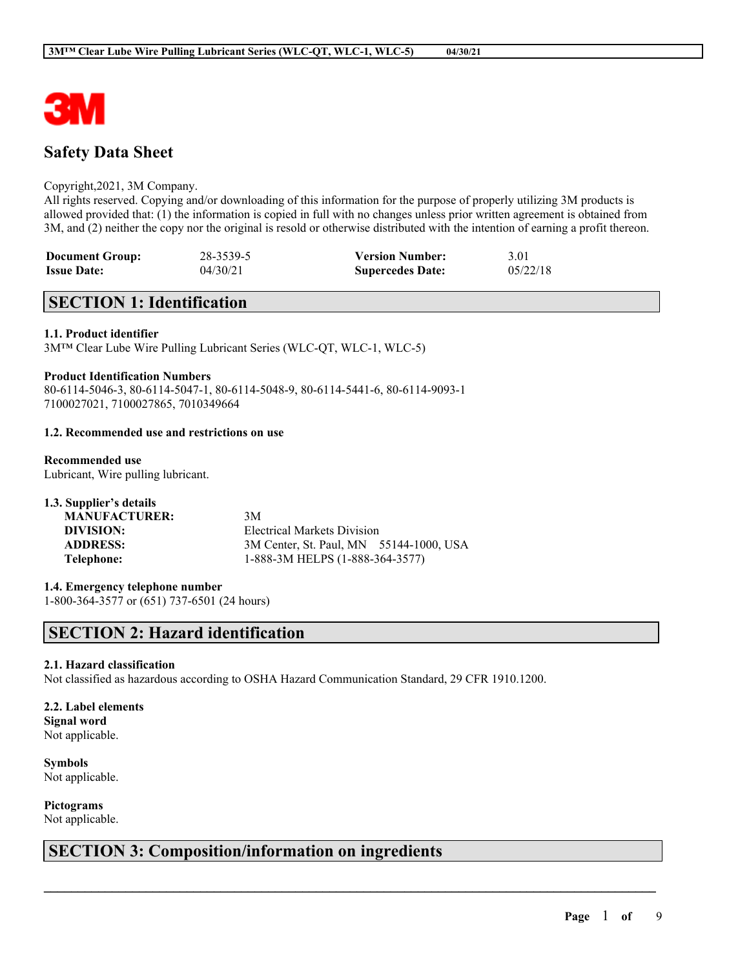

# **Safety Data Sheet**

#### Copyright,2021, 3M Company.

All rights reserved. Copying and/or downloading of this information for the purpose of properly utilizing 3M products is allowed provided that: (1) the information is copied in full with no changes unless prior written agreement is obtained from 3M, and (2) neither the copy nor the original is resold or otherwise distributed with the intention of earning a profit thereon.

| <b>Document Group:</b> | 28-3539-5 | <b>Version Number:</b>  | 3.01     |
|------------------------|-----------|-------------------------|----------|
| <b>Issue Date:</b>     | 04/30/21  | <b>Supercedes Date:</b> | 05/22/18 |

## **SECTION 1: Identification**

#### **1.1. Product identifier**

3M™ Clear Lube Wire Pulling Lubricant Series (WLC-QT, WLC-1, WLC-5)

#### **Product Identification Numbers**

80-6114-5046-3, 80-6114-5047-1, 80-6114-5048-9, 80-6114-5441-6, 80-6114-9093-1 7100027021, 7100027865, 7010349664

#### **1.2. Recommended use and restrictions on use**

**Recommended use** Lubricant, Wire pulling lubricant.

| 1.3. Supplier's details |                                         |  |
|-------------------------|-----------------------------------------|--|
| <b>MANUFACTURER:</b>    | 3M                                      |  |
| DIVISION:               | Electrical Markets Division             |  |
| <b>ADDRESS:</b>         | 3M Center, St. Paul, MN 55144-1000, USA |  |
| Telephone:              | 1-888-3M HELPS (1-888-364-3577)         |  |

**1.4. Emergency telephone number** 1-800-364-3577 or (651) 737-6501 (24 hours)

## **SECTION 2: Hazard identification**

#### **2.1. Hazard classification**

Not classified as hazardous according to OSHA Hazard Communication Standard, 29 CFR 1910.1200.

 $\mathcal{L}_\mathcal{L} = \mathcal{L}_\mathcal{L} = \mathcal{L}_\mathcal{L} = \mathcal{L}_\mathcal{L} = \mathcal{L}_\mathcal{L} = \mathcal{L}_\mathcal{L} = \mathcal{L}_\mathcal{L} = \mathcal{L}_\mathcal{L} = \mathcal{L}_\mathcal{L} = \mathcal{L}_\mathcal{L} = \mathcal{L}_\mathcal{L} = \mathcal{L}_\mathcal{L} = \mathcal{L}_\mathcal{L} = \mathcal{L}_\mathcal{L} = \mathcal{L}_\mathcal{L} = \mathcal{L}_\mathcal{L} = \mathcal{L}_\mathcal{L}$ 

#### **2.2. Label elements Signal word**

Not applicable.

**Symbols** Not applicable.

**Pictograms** Not applicable.

# **SECTION 3: Composition/information on ingredients**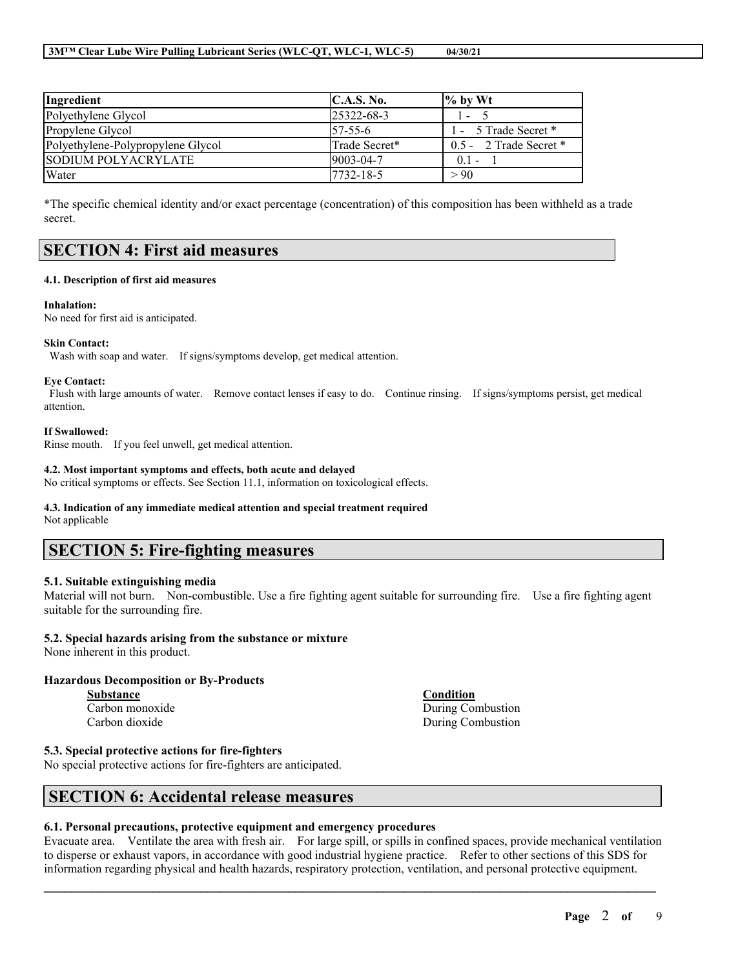#### **3M™ Clear Lube Wire Pulling Lubricant Series (WLC-QT, WLC-1, WLC-5) 04/30/21**

| Ingredient                        | C.A.S. No.        | $\frac{9}{6}$ by Wt        |
|-----------------------------------|-------------------|----------------------------|
| Polyethylene Glycol               | $125322 - 68 - 3$ | $\blacksquare$             |
| Propylene Glycol                  | $157 - 55 - 6$    | 1 - 5 Trade Secret *       |
| Polyethylene-Polypropylene Glycol | Trade Secret*     | $0.5 - 2$ Trade Secret $*$ |
| SODIUM POLYACRYLATE               | 9003-04-7         | $0.1 -$                    |
| Water                             | 7732-18-5         | > 90                       |

\*The specific chemical identity and/or exact percentage (concentration) of this composition has been withheld as a trade secret.

## **SECTION 4: First aid measures**

#### **4.1. Description of first aid measures**

#### **Inhalation:**

No need for first aid is anticipated.

#### **Skin Contact:**

Wash with soap and water. If signs/symptoms develop, get medical attention.

#### **Eye Contact:**

Flush with large amounts of water. Remove contact lenses if easy to do. Continue rinsing. If signs/symptoms persist, get medical attention.

#### **If Swallowed:**

Rinse mouth. If you feel unwell, get medical attention.

#### **4.2. Most important symptoms and effects, both acute and delayed**

No critical symptoms or effects. See Section 11.1, information on toxicological effects.

#### **4.3. Indication of any immediate medical attention and special treatment required**

Not applicable

## **SECTION 5: Fire-fighting measures**

#### **5.1. Suitable extinguishing media**

Material will not burn. Non-combustible. Use a fire fighting agent suitable for surrounding fire. Use a fire fighting agent suitable for the surrounding fire.

#### **5.2. Special hazards arising from the substance or mixture**

None inherent in this product.

#### **Hazardous Decomposition or By-Products**

**Substance Condition** Carbon dioxide During Combustion

Carbon monoxide During Combustion

#### **5.3. Special protective actions for fire-fighters**

No special protective actions for fire-fighters are anticipated.

## **SECTION 6: Accidental release measures**

#### **6.1. Personal precautions, protective equipment and emergency procedures**

Evacuate area. Ventilate the area with fresh air. For large spill, or spills in confined spaces, provide mechanical ventilation to disperse or exhaust vapors, in accordance with good industrial hygiene practice. Refer to other sections of this SDS for information regarding physical and health hazards, respiratory protection, ventilation, and personal protective equipment.

 $\mathcal{L}_\mathcal{L} = \mathcal{L}_\mathcal{L} = \mathcal{L}_\mathcal{L} = \mathcal{L}_\mathcal{L} = \mathcal{L}_\mathcal{L} = \mathcal{L}_\mathcal{L} = \mathcal{L}_\mathcal{L} = \mathcal{L}_\mathcal{L} = \mathcal{L}_\mathcal{L} = \mathcal{L}_\mathcal{L} = \mathcal{L}_\mathcal{L} = \mathcal{L}_\mathcal{L} = \mathcal{L}_\mathcal{L} = \mathcal{L}_\mathcal{L} = \mathcal{L}_\mathcal{L} = \mathcal{L}_\mathcal{L} = \mathcal{L}_\mathcal{L}$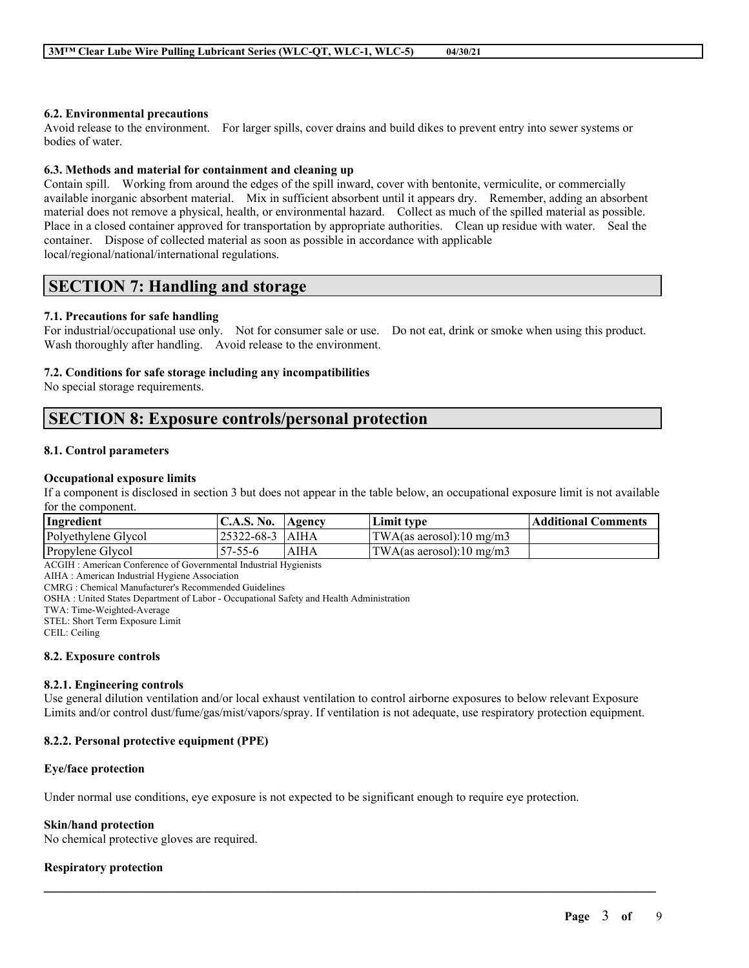#### **6.2. Environmental precautions**

Avoid release to the environment. For larger spills, cover drains and build dikes to prevent entry into sewer systems or bodies of water.

#### **6.3. Methods and material for containment and cleaning up**

Contain spill. Working from around the edges of the spill inward, cover with bentonite, vermiculite, or commercially available inorganic absorbent material. Mix in sufficient absorbent until it appears dry. Remember, adding an absorbent material does not remove a physical, health, or environmental hazard. Collect as much of the spilled material as possible. Place in a closed container approved for transportation by appropriate authorities. Clean up residue with water. Seal the container. Dispose of collected material as soon as possible in accordance with applicable local/regional/national/international regulations.

## **SECTION 7: Handling and storage**

#### **7.1. Precautions for safe handling**

For industrial/occupational use only. Not for consumer sale or use. Do not eat, drink or smoke when using this product. Wash thoroughly after handling. Avoid release to the environment.

#### **7.2. Conditions for safe storage including any incompatibilities**

No special storage requirements.

# **SECTION 8: Exposure controls/personal protection**

#### **8.1. Control parameters**

#### **Occupational exposure limits**

If a component is disclosed in section 3 but does not appear in the table below, an occupational exposure limit is not available for the component.

| Ingredient          | <b>C.A.S. No.</b> | <b>Agency</b> | Limit type                         | <b>Additional Comments</b> |
|---------------------|-------------------|---------------|------------------------------------|----------------------------|
| Polyethylene Glycol | 125322-68-3 1AIHA |               | $\text{TWA}$ (as aerosol):10 mg/m3 |                            |
| Propylene Glycol    | $57 - 55 - 6$     | AIHA          | $\text{TWA}$ (as aerosol):10 mg/m3 |                            |

ACGIH : American Conference of Governmental Industrial Hygienists

AIHA : American Industrial Hygiene Association

CMRG : Chemical Manufacturer's Recommended Guidelines

OSHA : United States Department of Labor - Occupational Safety and Health Administration

TWA: Time-Weighted-Average

STEL: Short Term Exposure Limit

CEIL: Ceiling

#### **8.2. Exposure controls**

#### **8.2.1. Engineering controls**

Use general dilution ventilation and/or local exhaust ventilation to control airborne exposures to below relevant Exposure Limits and/or control dust/fume/gas/mist/vapors/spray. If ventilation is not adequate, use respiratory protection equipment.

 $\mathcal{L}_\mathcal{L} = \mathcal{L}_\mathcal{L} = \mathcal{L}_\mathcal{L} = \mathcal{L}_\mathcal{L} = \mathcal{L}_\mathcal{L} = \mathcal{L}_\mathcal{L} = \mathcal{L}_\mathcal{L} = \mathcal{L}_\mathcal{L} = \mathcal{L}_\mathcal{L} = \mathcal{L}_\mathcal{L} = \mathcal{L}_\mathcal{L} = \mathcal{L}_\mathcal{L} = \mathcal{L}_\mathcal{L} = \mathcal{L}_\mathcal{L} = \mathcal{L}_\mathcal{L} = \mathcal{L}_\mathcal{L} = \mathcal{L}_\mathcal{L}$ 

#### **8.2.2. Personal protective equipment (PPE)**

#### **Eye/face protection**

Under normal use conditions, eye exposure is not expected to be significant enough to require eye protection.

#### **Skin/hand protection**

No chemical protective gloves are required.

#### **Respiratory protection**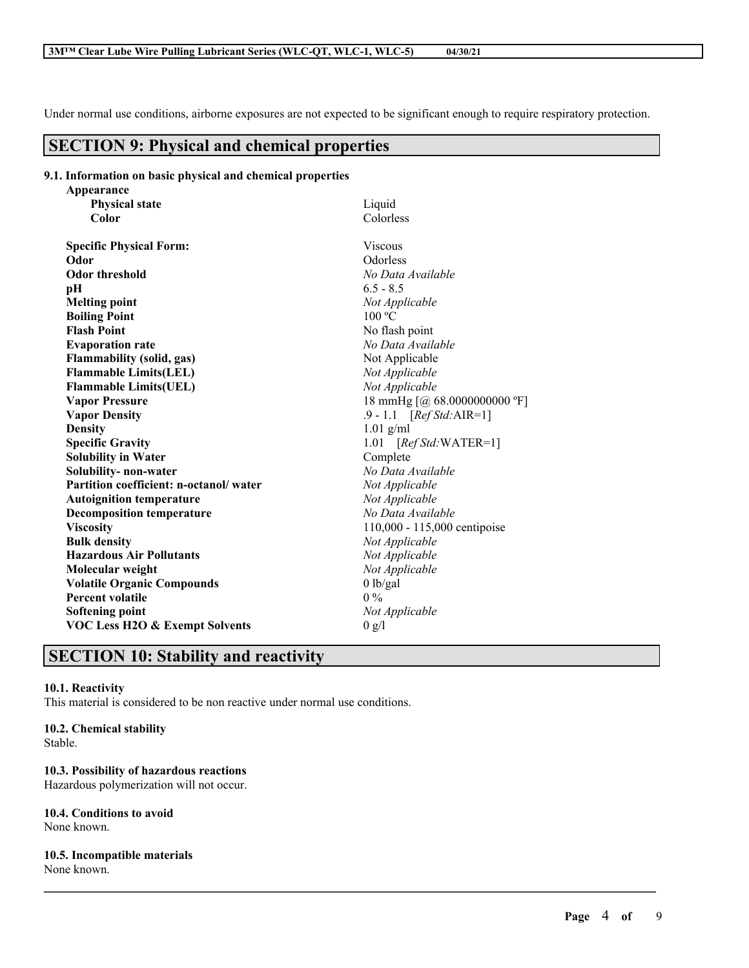Under normal use conditions, airborne exposures are not expected to be significant enough to require respiratory protection.

# **SECTION 9: Physical and chemical properties**

| 9.1. Information on basic physical and chemical properties |  |  |  |  |
|------------------------------------------------------------|--|--|--|--|
|                                                            |  |  |  |  |

| Appearance                                |                              |
|-------------------------------------------|------------------------------|
| <b>Physical state</b>                     | Liquid                       |
| Color                                     | Colorless                    |
| <b>Specific Physical Form:</b>            | <b>Viscous</b>               |
| Odor                                      | Odorless                     |
| <b>Odor threshold</b>                     | No Data Available            |
| pН                                        | $6.5 - 8.5$                  |
| <b>Melting point</b>                      | Not Applicable               |
| <b>Boiling Point</b>                      | 100 °C                       |
| <b>Flash Point</b>                        | No flash point               |
| <b>Evaporation rate</b>                   | No Data Available            |
| <b>Flammability (solid, gas)</b>          | Not Applicable               |
| <b>Flammable Limits(LEL)</b>              | Not Applicable               |
| <b>Flammable Limits(UEL)</b>              | Not Applicable               |
| <b>Vapor Pressure</b>                     | 18 mmHg [@ 68.0000000000 °F] |
| <b>Vapor Density</b>                      | $.9 - 1.1$ [Ref Std: AIR=1]  |
| <b>Density</b>                            | $1.01$ g/ml                  |
| <b>Specific Gravity</b>                   | 1.01 $[RefStd:WATER=1]$      |
| <b>Solubility in Water</b>                | Complete                     |
| Solubility- non-water                     | No Data Available            |
| Partition coefficient: n-octanol/water    | Not Applicable               |
| <b>Autoignition temperature</b>           | Not Applicable               |
| <b>Decomposition temperature</b>          | No Data Available            |
| <b>Viscosity</b>                          | 110,000 - 115,000 centipoise |
| <b>Bulk density</b>                       | Not Applicable               |
| <b>Hazardous Air Pollutants</b>           | Not Applicable               |
| Molecular weight                          | Not Applicable               |
| <b>Volatile Organic Compounds</b>         | $0$ lb/gal                   |
| <b>Percent volatile</b>                   | $0\%$                        |
| <b>Softening point</b>                    | Not Applicable               |
| <b>VOC Less H2O &amp; Exempt Solvents</b> | 0 g/l                        |
|                                           |                              |

 $\mathcal{L}_\mathcal{L} = \mathcal{L}_\mathcal{L} = \mathcal{L}_\mathcal{L} = \mathcal{L}_\mathcal{L} = \mathcal{L}_\mathcal{L} = \mathcal{L}_\mathcal{L} = \mathcal{L}_\mathcal{L} = \mathcal{L}_\mathcal{L} = \mathcal{L}_\mathcal{L} = \mathcal{L}_\mathcal{L} = \mathcal{L}_\mathcal{L} = \mathcal{L}_\mathcal{L} = \mathcal{L}_\mathcal{L} = \mathcal{L}_\mathcal{L} = \mathcal{L}_\mathcal{L} = \mathcal{L}_\mathcal{L} = \mathcal{L}_\mathcal{L}$ 

# **SECTION 10: Stability and reactivity**

#### **10.1. Reactivity**

This material is considered to be non reactive under normal use conditions.

#### **10.2. Chemical stability**

Stable.

#### **10.3. Possibility of hazardous reactions**

Hazardous polymerization will not occur.

#### **10.4. Conditions to avoid** None known.

#### **10.5. Incompatible materials**

None known.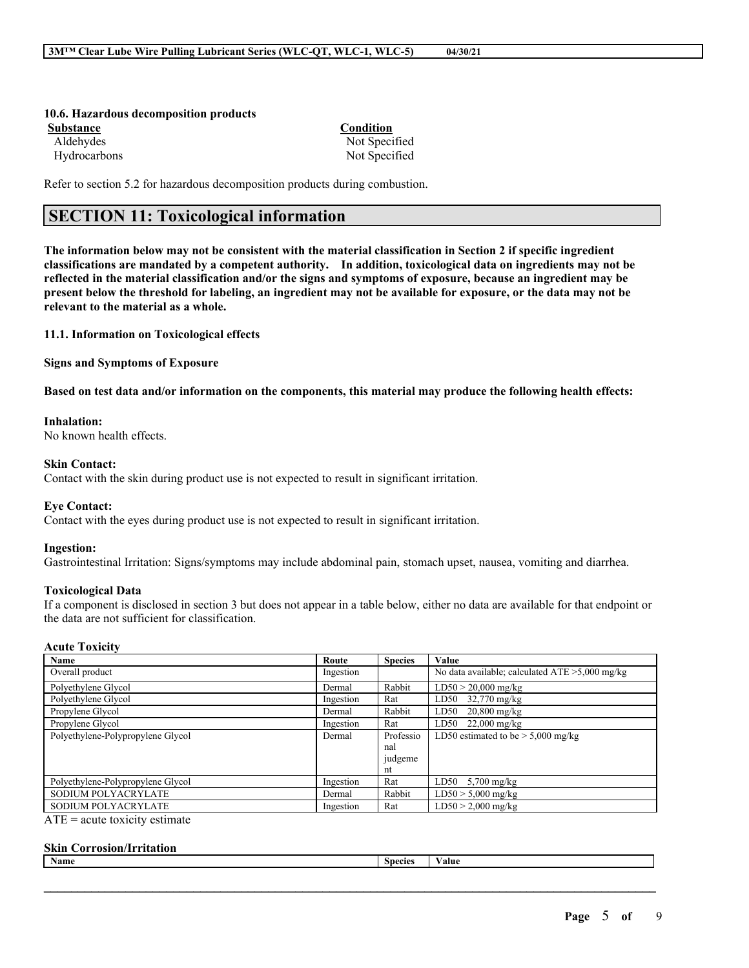#### **10.6. Hazardous decomposition products Substance Condition**

Aldehydes Not Specified Hydrocarbons Not Specified

Refer to section 5.2 for hazardous decomposition products during combustion.

# **SECTION 11: Toxicological information**

The information below may not be consistent with the material classification in Section 2 if specific ingredient **classifications are mandated by a competent authority. In addition, toxicological data on ingredients may not be** reflected in the material classification and/or the signs and symptoms of exposure, because an ingredient may be present below the threshold for labeling, an ingredient may not be available for exposure, or the data may not be **relevant to the material as a whole.**

**11.1. Information on Toxicological effects**

**Signs and Symptoms of Exposure**

Based on test data and/or information on the components, this material may produce the following health effects:

#### **Inhalation:**

No known health effects.

#### **Skin Contact:**

Contact with the skin during product use is not expected to result in significant irritation.

#### **Eye Contact:**

Contact with the eyes during product use is not expected to result in significant irritation.

#### **Ingestion:**

Gastrointestinal Irritation: Signs/symptoms may include abdominal pain, stomach upset, nausea, vomiting and diarrhea.

#### **Toxicological Data**

If a component is disclosed in section 3 but does not appear in a table below, either no data are available for that endpoint or the data are not sufficient for classification.

#### **Acute Toxicity**

| Route     | <b>Species</b> | Value                                             |
|-----------|----------------|---------------------------------------------------|
| Ingestion |                | No data available; calculated $ATE > 5,000$ mg/kg |
| Dermal    | Rabbit         | $LD50 > 20,000$ mg/kg                             |
| Ingestion | Rat            | LD50 32,770 mg/kg                                 |
| Dermal    | Rabbit         | $20,800 \text{ mg/kg}$<br>LD50                    |
| Ingestion | Rat            | $LD50$ 22,000 mg/kg                               |
| Dermal    | Professio      | LD50 estimated to be $> 5,000$ mg/kg              |
|           | nal            |                                                   |
|           | judgeme        |                                                   |
|           | nt             |                                                   |
| Ingestion | Rat            | LD50<br>$5,700$ mg/kg                             |
| Dermal    | Rabbit         | $LD50 > 5,000$ mg/kg                              |
| Ingestion | Rat            | $LD50 > 2,000$ mg/kg                              |
|           |                |                                                   |

 $ATE = acute$  toxicity estimate

#### **Skin Corrosion/Irritation**

| <b>Name</b> | <b>Species</b> | $-1$<br>alue |
|-------------|----------------|--------------|
|             |                |              |
|             |                |              |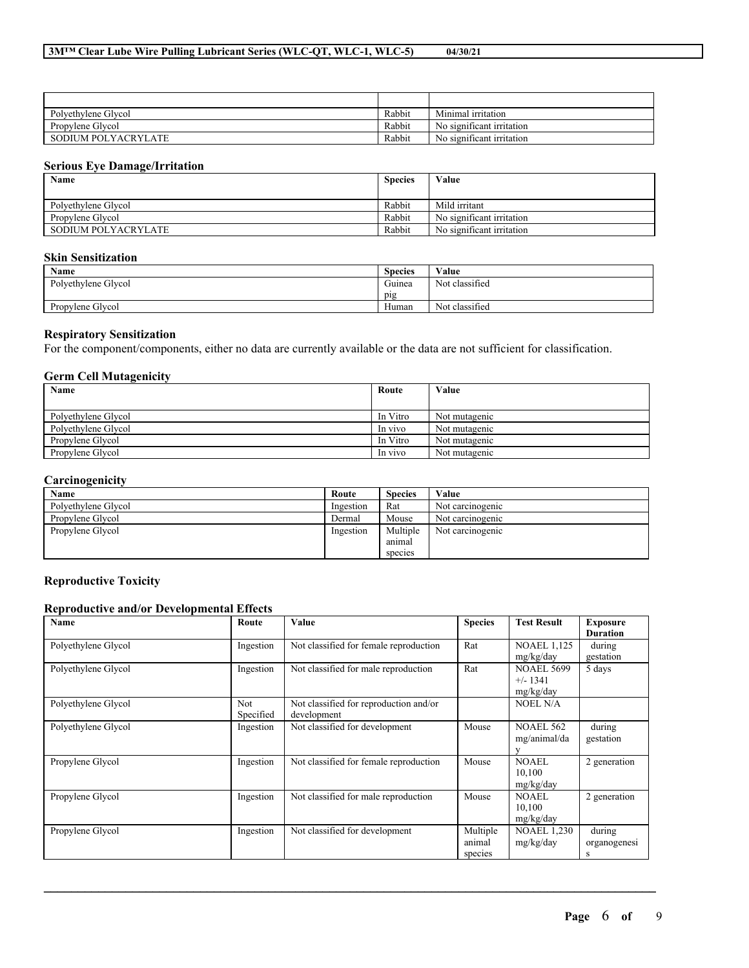| Polvethylene Glycol | Rabbit | Minimal irritation               |
|---------------------|--------|----------------------------------|
| Propylene Glycol    | Rabbit | No significant irritation        |
| SODIUM POLYACRYLATE | Rabbit | . .<br>No significant irritation |

#### **Serious Eye Damage/Irritation**

| Name                | <b>Species</b> | Value                     |
|---------------------|----------------|---------------------------|
|                     |                |                           |
| Polvethylene Glycol | Rabbit         | Mild irritant             |
| Propylene Glycol    | Rabbit         | No significant irritation |
| SODIUM POLYACRYLATE | Rabbit         | No significant irritation |

#### **Skin Sensitization**

| Name                | <b>Species</b>   | Value                    |
|---------------------|------------------|--------------------------|
| Polyethylene Glycol | $\sim$<br>Guinea | $\sim$<br>Not classified |
|                     | pig              |                          |
| Propylene Glycol    | Human            | Not classified           |

#### **Respiratory Sensitization**

For the component/components, either no data are currently available or the data are not sufficient for classification.

#### **Germ Cell Mutagenicity**

| <b>Name</b>         | Route    | Value         |
|---------------------|----------|---------------|
|                     |          |               |
| Polvethylene Glycol | In Vitro | Not mutagenic |
| Polyethylene Glycol | In vivo  | Not mutagenic |
| Propylene Glycol    | In Vitro | Not mutagenic |
| Propylene Glycol    | In vivo  | Not mutagenic |

#### **Carcinogenicity**

| Name                | Route     | <b>Species</b> | Value            |
|---------------------|-----------|----------------|------------------|
| Polvethylene Glycol | Ingestion | Rat            | Not carcinogenic |
| Propylene Glycol    | Dermal    | Mouse          | Not carcinogenic |
| Propylene Glycol    | Ingestion | Multiple       | Not carcinogenic |
|                     |           | animal         |                  |
|                     |           | species        |                  |

#### **Reproductive Toxicity**

#### **Reproductive and/or Developmental Effects**

| Name                | Route            | Value                                                 | <b>Species</b>                | <b>Test Result</b>                           | <b>Exposure</b><br><b>Duration</b> |
|---------------------|------------------|-------------------------------------------------------|-------------------------------|----------------------------------------------|------------------------------------|
| Polyethylene Glycol | Ingestion        | Not classified for female reproduction                | Rat                           | <b>NOAEL 1,125</b><br>mg/kg/day              | during<br>gestation                |
| Polyethylene Glycol | Ingestion        | Not classified for male reproduction                  | Rat                           | <b>NOAEL 5699</b><br>$+/- 1341$<br>mg/kg/day | 5 days                             |
| Polyethylene Glycol | Not<br>Specified | Not classified for reproduction and/or<br>development |                               | <b>NOEL N/A</b>                              |                                    |
| Polyethylene Glycol | Ingestion        | Not classified for development                        | Mouse                         | <b>NOAEL 562</b><br>mg/animal/da             | during<br>gestation                |
| Propylene Glycol    | Ingestion        | Not classified for female reproduction                | Mouse                         | <b>NOAEL</b><br>10,100<br>mg/kg/day          | 2 generation                       |
| Propylene Glycol    | Ingestion        | Not classified for male reproduction                  | Mouse                         | NOAEL<br>10,100<br>mg/kg/day                 | 2 generation                       |
| Propylene Glycol    | Ingestion        | Not classified for development                        | Multiple<br>animal<br>species | <b>NOAEL 1,230</b><br>mg/kg/day              | during<br>organogenesi<br>s        |

 $\mathcal{L}_\mathcal{L} = \mathcal{L}_\mathcal{L} = \mathcal{L}_\mathcal{L} = \mathcal{L}_\mathcal{L} = \mathcal{L}_\mathcal{L} = \mathcal{L}_\mathcal{L} = \mathcal{L}_\mathcal{L} = \mathcal{L}_\mathcal{L} = \mathcal{L}_\mathcal{L} = \mathcal{L}_\mathcal{L} = \mathcal{L}_\mathcal{L} = \mathcal{L}_\mathcal{L} = \mathcal{L}_\mathcal{L} = \mathcal{L}_\mathcal{L} = \mathcal{L}_\mathcal{L} = \mathcal{L}_\mathcal{L} = \mathcal{L}_\mathcal{L}$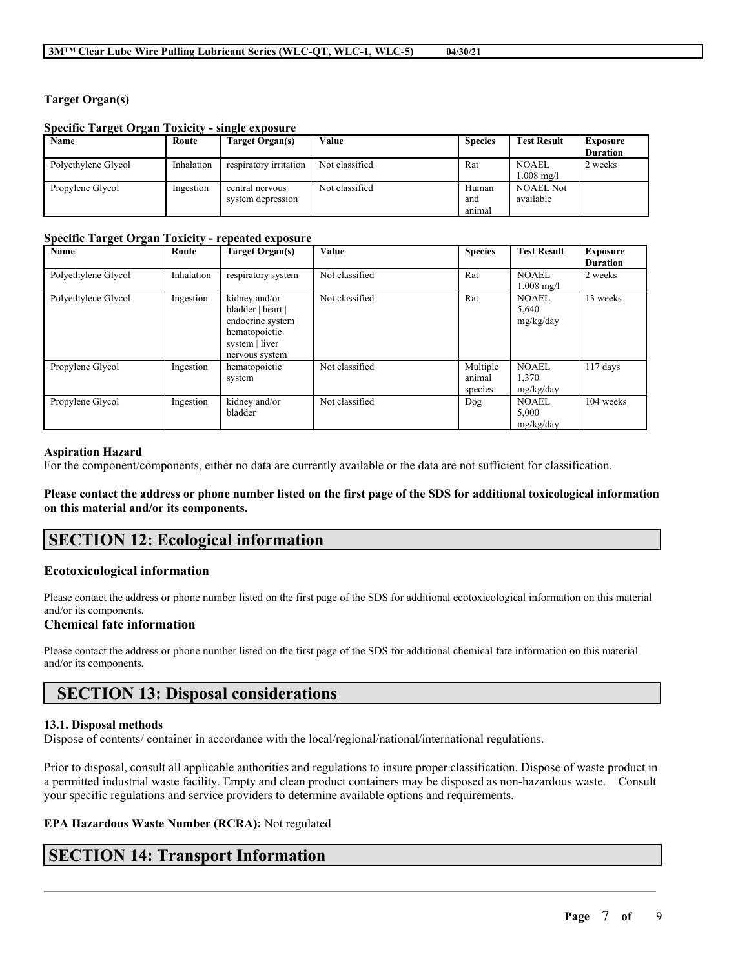#### **Target Organ(s)**

#### **Specific Target Organ Toxicity - single exposure**

| Name                | Route      | Target Organ(s)        | Value          | <b>Species</b> | <b>Test Result</b>   | <b>Exposure</b> |
|---------------------|------------|------------------------|----------------|----------------|----------------------|-----------------|
|                     |            |                        |                |                |                      | <b>Duration</b> |
| Polyethylene Glycol | Inhalation | respiratory irritation | Not classified | Rat            | <b>NOAEL</b>         | 2 weeks         |
|                     |            |                        |                |                | $1.008 \text{ mg/l}$ |                 |
| Propylene Glycol    | Ingestion  | central nervous        | Not classified | Human          | <b>NOAEL Not</b>     |                 |
|                     |            | system depression      |                | and            | available            |                 |
|                     |            |                        |                | animal         |                      |                 |

#### **Specific Target Organ Toxicity - repeated exposure**

| Name                | Route      | <b>Target Organ(s)</b> | Value          | <b>Species</b> | <b>Test Result</b>   | <b>Exposure</b> |
|---------------------|------------|------------------------|----------------|----------------|----------------------|-----------------|
|                     |            |                        |                |                |                      | <b>Duration</b> |
| Polyethylene Glycol | Inhalation | respiratory system     | Not classified | Rat            | <b>NOAEL</b>         | 2 weeks         |
|                     |            |                        |                |                | $1.008 \text{ mg/l}$ |                 |
| Polyethylene Glycol | Ingestion  | kidney and/or          | Not classified | Rat            | <b>NOAEL</b>         | 13 weeks        |
|                     |            | bladder   heart        |                |                | 5,640                |                 |
|                     |            | endocrine system       |                |                | mg/kg/day            |                 |
|                     |            | hematopoietic          |                |                |                      |                 |
|                     |            | system   liver         |                |                |                      |                 |
|                     |            | nervous system         |                |                |                      |                 |
| Propylene Glycol    | Ingestion  | hematopoietic          | Not classified | Multiple       | <b>NOAEL</b>         | $117$ days      |
|                     |            | system                 |                | animal         | 1,370                |                 |
|                     |            |                        |                | species        | mg/kg/day            |                 |
| Propylene Glycol    | Ingestion  | kidney and/or          | Not classified | Dog            | <b>NOAEL</b>         | 104 weeks       |
|                     |            | bladder                |                |                | 5,000                |                 |
|                     |            |                        |                |                | mg/kg/day            |                 |

#### **Aspiration Hazard**

For the component/components, either no data are currently available or the data are not sufficient for classification.

Please contact the address or phone number listed on the first page of the SDS for additional toxicological information **on this material and/or its components.**

# **SECTION 12: Ecological information**

#### **Ecotoxicological information**

Please contact the address or phone number listed on the first page of the SDS for additional ecotoxicological information on this material and/or its components.

#### **Chemical fate information**

Please contact the address or phone number listed on the first page of the SDS for additional chemical fate information on this material and/or its components.

## **SECTION 13: Disposal considerations**

#### **13.1. Disposal methods**

Dispose of contents/ container in accordance with the local/regional/national/international regulations.

Prior to disposal, consult all applicable authorities and regulations to insure proper classification. Dispose of waste product in a permitted industrial waste facility. Empty and clean product containers may be disposed as non-hazardous waste. Consult your specific regulations and service providers to determine available options and requirements.

 $\mathcal{L}_\mathcal{L} = \mathcal{L}_\mathcal{L} = \mathcal{L}_\mathcal{L} = \mathcal{L}_\mathcal{L} = \mathcal{L}_\mathcal{L} = \mathcal{L}_\mathcal{L} = \mathcal{L}_\mathcal{L} = \mathcal{L}_\mathcal{L} = \mathcal{L}_\mathcal{L} = \mathcal{L}_\mathcal{L} = \mathcal{L}_\mathcal{L} = \mathcal{L}_\mathcal{L} = \mathcal{L}_\mathcal{L} = \mathcal{L}_\mathcal{L} = \mathcal{L}_\mathcal{L} = \mathcal{L}_\mathcal{L} = \mathcal{L}_\mathcal{L}$ 

#### **EPA Hazardous Waste Number (RCRA):** Not regulated

# **SECTION 14: Transport Information**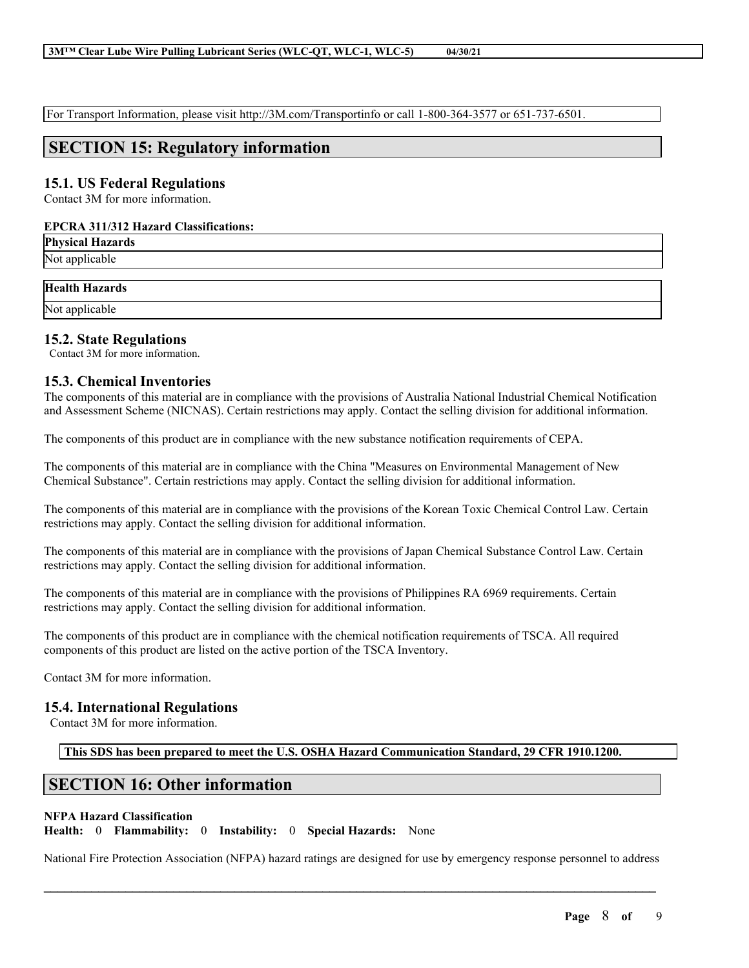For Transport Information, please visit http://3M.com/Transportinfo or call 1-800-364-3577 or 651-737-6501.

## **SECTION 15: Regulatory information**

#### **15.1. US Federal Regulations**

Contact 3M for more information.

#### **EPCRA 311/312 Hazard Classifications:**

**Physical Hazards** Not applicable

#### **Health Hazards**

Not applicable

#### **15.2. State Regulations**

Contact 3M for more information.

#### **15.3. Chemical Inventories**

The components of this material are in compliance with the provisions of Australia National Industrial Chemical Notification and Assessment Scheme (NICNAS). Certain restrictions may apply. Contact the selling division for additional information.

The components of this product are in compliance with the new substance notification requirements of CEPA.

The components of this material are in compliance with the China "Measures on Environmental Management of New Chemical Substance". Certain restrictions may apply. Contact the selling division for additional information.

The components of this material are in compliance with the provisions of the Korean Toxic Chemical Control Law. Certain restrictions may apply. Contact the selling division for additional information.

The components of this material are in compliance with the provisions of Japan Chemical Substance Control Law. Certain restrictions may apply. Contact the selling division for additional information.

The components of this material are in compliance with the provisions of Philippines RA 6969 requirements. Certain restrictions may apply. Contact the selling division for additional information.

The components of this product are in compliance with the chemical notification requirements of TSCA. All required components of this product are listed on the active portion of the TSCA Inventory.

Contact 3M for more information.

#### **15.4. International Regulations**

Contact 3M for more information.

**This SDS has been prepared to meet the U.S. OSHA Hazard Communication Standard, 29 CFR 1910.1200.**

# **SECTION 16: Other information**

#### **NFPA Hazard Classification**

**Health:** 0 **Flammability:** 0 **Instability:** 0 **Special Hazards:** None

National Fire Protection Association (NFPA) hazard ratings are designed for use by emergency response personnel to address

 $\mathcal{L}_\mathcal{L} = \mathcal{L}_\mathcal{L} = \mathcal{L}_\mathcal{L} = \mathcal{L}_\mathcal{L} = \mathcal{L}_\mathcal{L} = \mathcal{L}_\mathcal{L} = \mathcal{L}_\mathcal{L} = \mathcal{L}_\mathcal{L} = \mathcal{L}_\mathcal{L} = \mathcal{L}_\mathcal{L} = \mathcal{L}_\mathcal{L} = \mathcal{L}_\mathcal{L} = \mathcal{L}_\mathcal{L} = \mathcal{L}_\mathcal{L} = \mathcal{L}_\mathcal{L} = \mathcal{L}_\mathcal{L} = \mathcal{L}_\mathcal{L}$